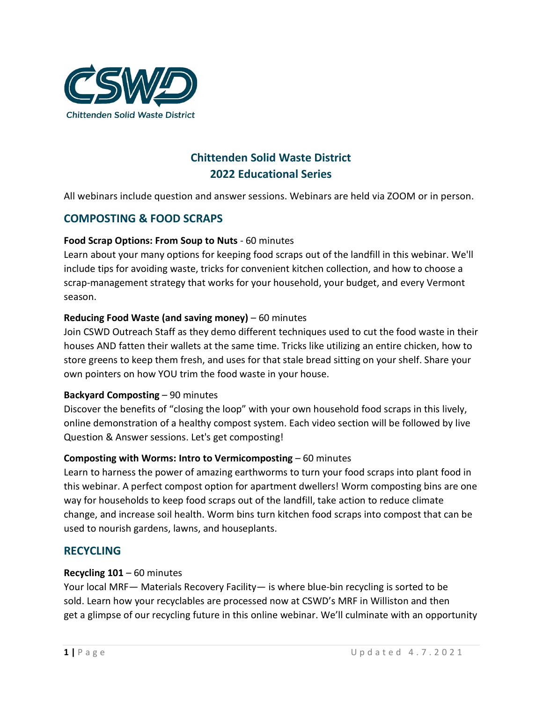

# **Chittenden Solid Waste District 2022 Educational Series**

All webinars include question and answer sessions. Webinars are held via ZOOM or in person.

## **COMPOSTING & FOOD SCRAPS**

### **Food Scrap Options: From Soup to Nuts** - 60 minutes

Learn about your many options for keeping food scraps out of the landfill in this webinar. We'll include tips for avoiding waste, tricks for convenient kitchen collection, and how to choose a scrap-management strategy that works for your household, your budget, and every Vermont season.

### **Reducing Food Waste (and saving money)** – 60 minutes

Join CSWD Outreach Staff as they demo different techniques used to cut the food waste in their houses AND fatten their wallets at the same time. Tricks like utilizing an entire chicken, how to store greens to keep them fresh, and uses for that stale bread sitting on your shelf. Share your own pointers on how YOU trim the food waste in your house.

#### **Backyard Composting** – 90 minutes

Discover the benefits of "closing the loop" with your own household food scraps in this lively, online demonstration of a healthy compost system. Each video section will be followed by live Question & Answer sessions. Let's get composting!

#### **Composting with Worms: Intro to Vermicomposting** *–* 60 minutes

Learn to harness the power of amazing earthworms to turn your food scraps into plant food in this webinar. A perfect compost option for apartment dwellers! Worm composting bins are one way for households to keep food scraps out of the landfill, take action to reduce climate change, and increase soil health. Worm bins turn kitchen food scraps into compost that can be used to nourish gardens, lawns, and houseplants.

### **RECYCLING**

#### **Recycling 101** – 60 minutes

Your local MRF— Materials Recovery Facility— is where blue-bin recycling is sorted to be sold. Learn how your recyclables are processed now at CSWD's MRF in Williston and then get a glimpse of our recycling future in this online webinar. We'll culminate with an opportunity